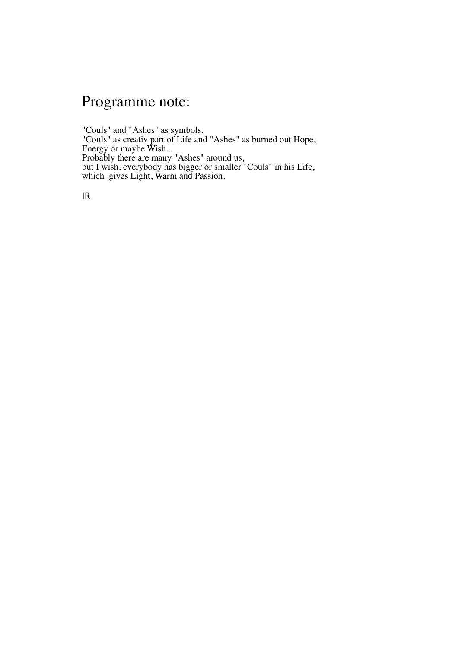## Programme note:

"Couls" and "Ashes" as symbols. "Couls" as creativ part of Life and "Ashes" as burned out Hope, Energy or maybe Wish... Probably there are many "Ashes" around us, but I wish, everybody has bigger or smaller "Couls" in his Life, which gives Light, Warm and Passion.

IR